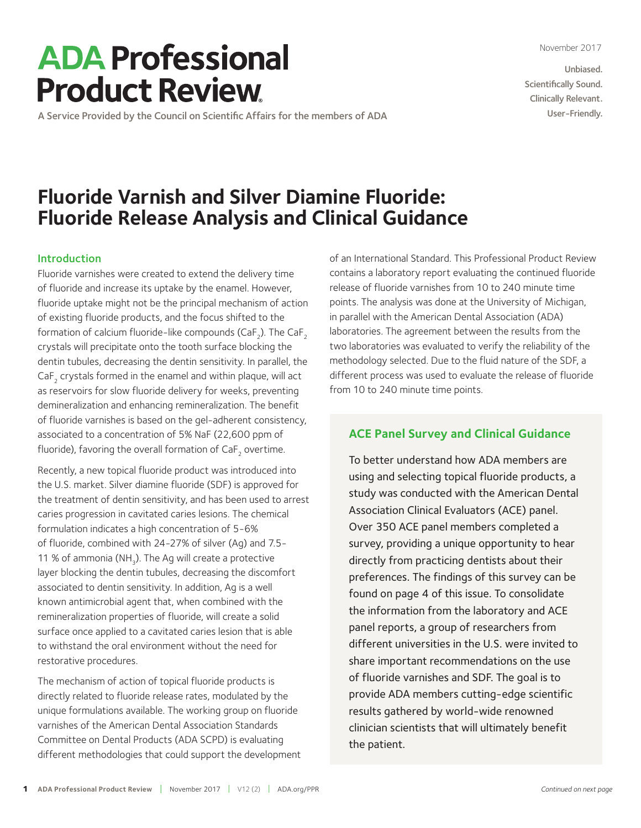November 2017

Unbiased. Scientifically Sound. Clinically Relevant. User-Friendly.

# **ADA Professional Product Review**

A Service Provided by the Council on Scientific Affairs for the members of ADA

# **Fluoride Varnish and Silver Diamine Fluoride: Fluoride Release Analysis and Clinical Guidance**

#### Introduction

Fluoride varnishes were created to extend the delivery time of fluoride and increase its uptake by the enamel. However, fluoride uptake might not be the principal mechanism of action of existing fluoride products, and the focus shifted to the formation of calcium fluoride-like compounds (CaF $_{_2}$ ). The CaF $_{_2}$ crystals will precipitate onto the tooth surface blocking the dentin tubules, decreasing the dentin sensitivity. In parallel, the CaF<sub>2</sub> crystals formed in the enamel and within plaque, will act as reservoirs for slow fluoride delivery for weeks, preventing demineralization and enhancing remineralization. The benefit of fluoride varnishes is based on the gel-adherent consistency, associated to a concentration of 5% NaF (22,600 ppm of fluoride), favoring the overall formation of  $CaF<sub>2</sub>$  overtime.

Recently, a new topical fluoride product was introduced into the U.S. market. Silver diamine fluoride (SDF) is approved for the treatment of dentin sensitivity, and has been used to arrest caries progression in cavitated caries lesions. The chemical formulation indicates a high concentration of 5-6% of fluoride, combined with 24-27% of silver (Ag) and 7.5- 11 % of ammonia (NH<sub>3</sub>). The Ag will create a protective layer blocking the dentin tubules, decreasing the discomfort associated to dentin sensitivity. In addition, Ag is a well known antimicrobial agent that, when combined with the remineralization properties of fluoride, will create a solid surface once applied to a cavitated caries lesion that is able to withstand the oral environment without the need for restorative procedures.

The mechanism of action of topical fluoride products is directly related to fluoride release rates, modulated by the unique formulations available. The working group on fluoride varnishes of the American Dental Association Standards Committee on Dental Products (ADA SCPD) is evaluating different methodologies that could support the development of an International Standard. This Professional Product Review contains a laboratory report evaluating the continued fluoride release of fluoride varnishes from 10 to 240 minute time points. The analysis was done at the University of Michigan, in parallel with the American Dental Association (ADA) laboratories. The agreement between the results from the two laboratories was evaluated to verify the reliability of the methodology selected. Due to the fluid nature of the SDF, a different process was used to evaluate the release of fluoride from 10 to 240 minute time points.

### **ACE Panel Survey and Clinical Guidance**

To better understand how ADA members are using and selecting topical fluoride products, a study was conducted with the American Dental Association Clinical Evaluators (ACE) panel. Over 350 ACE panel members completed a survey, providing a unique opportunity to hear directly from practicing dentists about their preferences. The findings of this survey can be found on page 4 of this issue. To consolidate the information from the laboratory and ACE panel reports, a group of researchers from different universities in the U.S. were invited to share important recommendations on the use of fluoride varnishes and SDF. The goal is to provide ADA members cutting-edge scientific results gathered by world-wide renowned clinician scientists that will ultimately benefit the patient.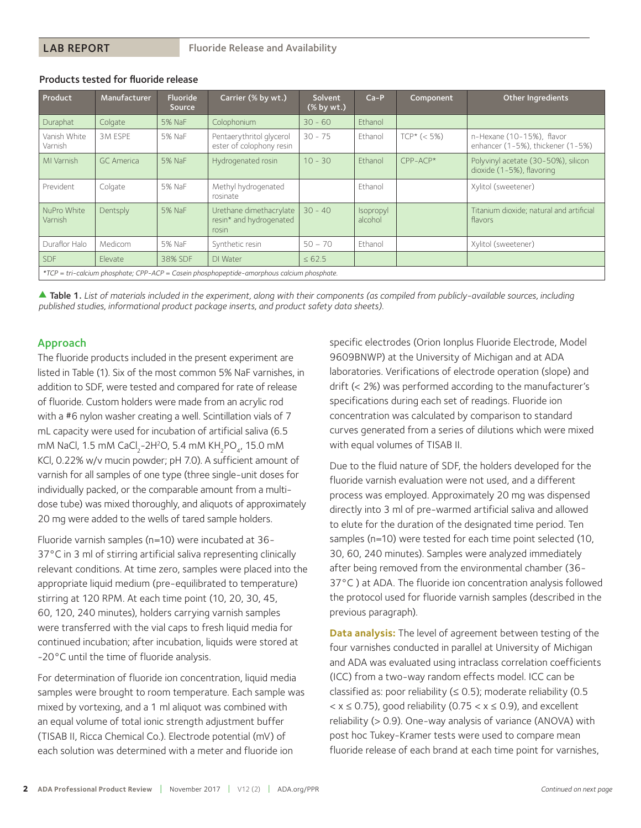| Product                                                                                    | Manufacturer | <b>Fluoride</b><br><b>Source</b> | Carrier (% by wt.)                                          | Solvent<br>$(% \mathbf{A})$ (% by wt.) | $Ca-P$               | Component     | <b>Other Ingredients</b>                                         |
|--------------------------------------------------------------------------------------------|--------------|----------------------------------|-------------------------------------------------------------|----------------------------------------|----------------------|---------------|------------------------------------------------------------------|
| Duraphat                                                                                   | Colgate      | 5% NaF                           | Colophonium                                                 | $30 - 60$                              | Ethanol              |               |                                                                  |
| Vanish White<br>Varnish                                                                    | 3M ESPE      | 5% NaF                           | Pentaerythritol glycerol<br>ester of colophony resin        | $30 - 75$                              | Ethanol              | $TCP* (< 5%)$ | n-Hexane (10-15%), flavor<br>enhancer (1-5%), thickener (1-5%)   |
| MI Varnish                                                                                 | GC America   | 5% NaF                           | Hydrogenated rosin                                          | $10 - 30$                              | Fthanol              | $CPP-ACP*$    | Polyvinyl acetate (30-50%), silicon<br>dioxide (1-5%), flavoring |
| Prevident                                                                                  | Colgate      | 5% NaF                           | Methyl hydrogenated<br>rosinate                             |                                        | Fthanol              |               | Xylitol (sweetener)                                              |
| NuPro White<br>Varnish                                                                     | Dentsply     | 5% NaF                           | Urethane dimethacrylate<br>resin* and hydrogenated<br>rosin | $30 - 40$                              | Isopropyl<br>alcohol |               | Titanium dioxide; natural and artificial<br>flavors              |
| Duraflor Halo                                                                              | Medicom      | 5% NaF                           | Synthetic resin                                             | $50 - 70$                              | Ethanol              |               | Xylitol (sweetener)                                              |
| <b>SDF</b>                                                                                 | Elevate      | 38% SDF                          | DI Water                                                    | $\leq 62.5$                            |                      |               |                                                                  |
| *TCP = tri-calcium phosphate; CPP-ACP = Casein phosphopeptide-amorphous calcium phosphate. |              |                                  |                                                             |                                        |                      |               |                                                                  |

#### Products tested for fluoride release

▲ Table 1. List of materials included in the experiment, along with their components (as compiled from publicly-available sources, including *published studies, informational product package inserts, and product safety data sheets).*

#### Approach

The fluoride products included in the present experiment are listed in Table (1). Six of the most common 5% NaF varnishes, in addition to SDF, were tested and compared for rate of release of fluoride. Custom holders were made from an acrylic rod with a #6 nylon washer creating a well. Scintillation vials of 7 mL capacity were used for incubation of artificial saliva (6.5 mM NaCl, 1.5 mM CaCl<sub>2</sub>-2H<sup>2</sup>O, 5.4 mM KH<sub>2</sub>PO<sub>4</sub>, 15.0 mM KCl, 0.22% w/v mucin powder; pH 7.0). A sufficient amount of varnish for all samples of one type (three single-unit doses for individually packed, or the comparable amount from a multidose tube) was mixed thoroughly, and aliquots of approximately 20 mg were added to the wells of tared sample holders.

Fluoride varnish samples (n=10) were incubated at 36- 37°C in 3 ml of stirring artificial saliva representing clinically relevant conditions. At time zero, samples were placed into the appropriate liquid medium (pre-equilibrated to temperature) stirring at 120 RPM. At each time point (10, 20, 30, 45, 60, 120, 240 minutes), holders carrying varnish samples were transferred with the vial caps to fresh liquid media for continued incubation; after incubation, liquids were stored at -20°C until the time of fluoride analysis.

For determination of fluoride ion concentration, liquid media samples were brought to room temperature. Each sample was mixed by vortexing, and a 1 ml aliquot was combined with an equal volume of total ionic strength adjustment buffer (TISAB II, Ricca Chemical Co.). Electrode potential (mV) of each solution was determined with a meter and fluoride ion

specific electrodes (Orion Ionplus Fluoride Electrode, Model 9609BNWP) at the University of Michigan and at ADA laboratories. Verifications of electrode operation (slope) and drift (< 2%) was performed according to the manufacturer's specifications during each set of readings. Fluoride ion concentration was calculated by comparison to standard curves generated from a series of dilutions which were mixed with equal volumes of TISAB II.

Due to the fluid nature of SDF, the holders developed for the fluoride varnish evaluation were not used, and a different process was employed. Approximately 20 mg was dispensed directly into 3 ml of pre-warmed artificial saliva and allowed to elute for the duration of the designated time period. Ten samples (n=10) were tested for each time point selected (10, 30, 60, 240 minutes). Samples were analyzed immediately after being removed from the environmental chamber (36- 37°C ) at ADA. The fluoride ion concentration analysis followed the protocol used for fluoride varnish samples (described in the previous paragraph).

**Data analysis:** The level of agreement between testing of the four varnishes conducted in parallel at University of Michigan and ADA was evaluated using intraclass correlation coefficients (ICC) from a two-way random effects model. ICC can be classified as: poor reliability ( $\leq$  0.5); moderate reliability (0.5  $x \le 0.75$ ), good reliability (0.75  $x \le 0.9$ ), and excellent reliability (> 0.9). One-way analysis of variance (ANOVA) with post hoc Tukey-Kramer tests were used to compare mean fluoride release of each brand at each time point for varnishes,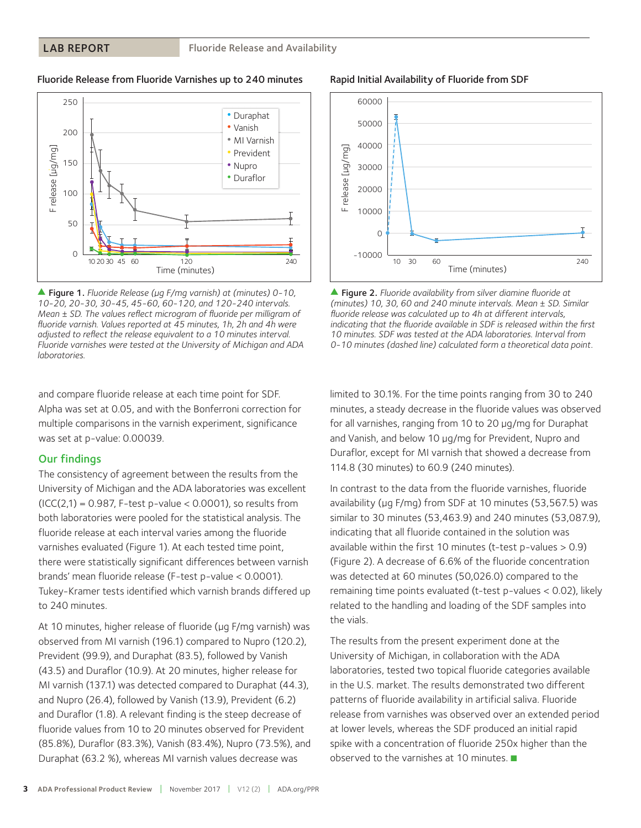#### LAB REPORT

#### Fluoride Release from Fluoride Varnishes up to 240 minutes



s Figure 1. *Fluoride Release (µg F/mg varnish) at (minutes) 0-10, 10-20, 20-30, 30-45, 45-60, 60-120, and 120-240 intervals. Mean ± SD. The values reflect microgram of fluoride per milligram of fluoride varnish. Values reported at 45 minutes, 1h, 2h and 4h were adjusted to reflect the release equivalent to a 10 minutes interval. Fluoride varnishes were tested at the University of Michigan and ADA laboratories.*

and compare fluoride release at each time point for SDF. Alpha was set at 0.05, and with the Bonferroni correction for multiple comparisons in the varnish experiment, significance was set at p-value: 0.00039.

#### Our findings

The consistency of agreement between the results from the University of Michigan and the ADA laboratories was excellent  $(ICC(2,1) = 0.987$ , F-test p-value < 0.0001), so results from both laboratories were pooled for the statistical analysis. The fluoride release at each interval varies among the fluoride varnishes evaluated (Figure 1). At each tested time point, there were statistically significant differences between varnish brands' mean fluoride release (F-test p-value < 0.0001). Tukey-Kramer tests identified which varnish brands differed up to 240 minutes.

At 10 minutes, higher release of fluoride (µg F/mg varnish) was observed from MI varnish (196.1) compared to Nupro (120.2), Prevident (99.9), and Duraphat (83.5), followed by Vanish (43.5) and Duraflor (10.9). At 20 minutes, higher release for MI varnish (137.1) was detected compared to Duraphat (44.3), and Nupro (26.4), followed by Vanish (13.9), Prevident (6.2) and Duraflor (1.8). A relevant finding is the steep decrease of fluoride values from 10 to 20 minutes observed for Prevident (85.8%), Duraflor (83.3%), Vanish (83.4%), Nupro (73.5%), and Duraphat (63.2 %), whereas MI varnish values decrease was



limited to 30.1%. For the time points ranging from 30 to 240 minutes, a steady decrease in the fluoride values was observed for all varnishes, ranging from 10 to 20 µg/mg for Duraphat and Vanish, and below 10 µg/mg for Prevident, Nupro and Duraflor, except for MI varnish that showed a decrease from 114.8 (30 minutes) to 60.9 (240 minutes).

In contrast to the data from the fluoride varnishes, fluoride availability (µg F/mg) from SDF at 10 minutes (53,567.5) was similar to 30 minutes (53,463.9) and 240 minutes (53,087.9), indicating that all fluoride contained in the solution was available within the first 10 minutes (t-test p-values > 0.9) (Figure 2). A decrease of 6.6% of the fluoride concentration was detected at 60 minutes (50,026.0) compared to the remaining time points evaluated (t-test p-values < 0.02), likely related to the handling and loading of the SDF samples into the vials.

The results from the present experiment done at the University of Michigan, in collaboration with the ADA laboratories, tested two topical fluoride categories available in the U.S. market. The results demonstrated two different patterns of fluoride availability in artificial saliva. Fluoride release from varnishes was observed over an extended period at lower levels, whereas the SDF produced an initial rapid spike with a concentration of fluoride 250x higher than the observed to the varnishes at 10 minutes.  $\blacksquare$ 

60000

50000

40000

30000

20000

F release [µg/mg]

release [µg/mg]

10000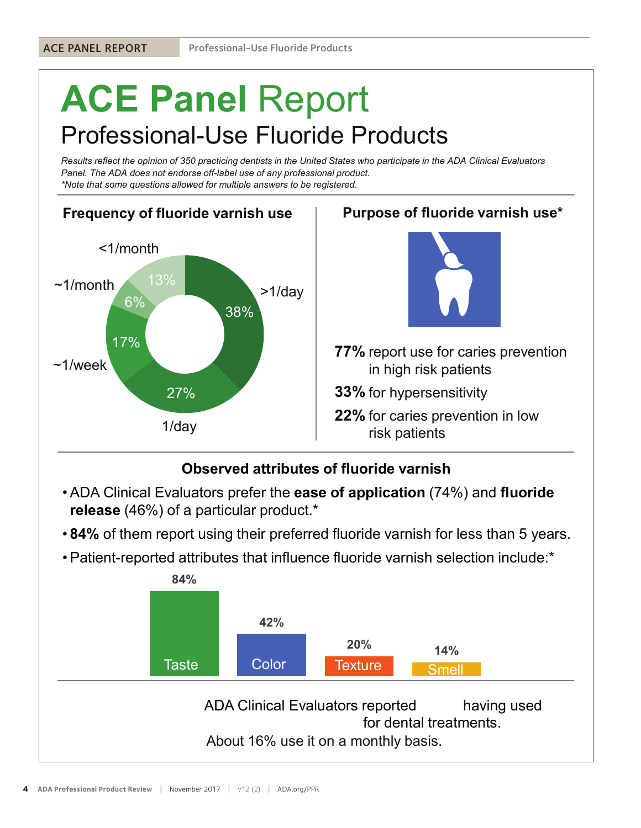# ACE Panel Report Professional-Use Fluoride Products

Results reflect the opinion of 350 practicing dentists in the United States who participate in the ADA Clinical Evaluators Panel. The ADA does not endorse off-label use of any professional product. \*Note that some questions allowed for multiple answers to be registered.





Purpose of fluoride varnish use\*

- 77% report use for caries prevention in high risk patients
- $\bf{33\%}$  for hypersensitivity
- **22%** for caries prevention in low risk patients

## Observed attributes of fluoride varnish

- release (46%) of a particular product.\*
- 84% of them report using their preferred fluoride varnish for less than 5 years.
- 

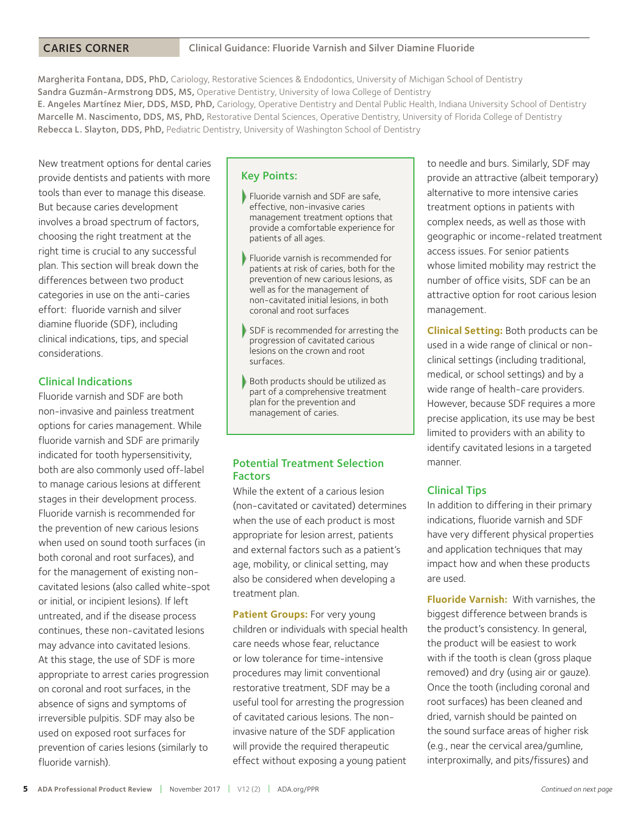#### CARIES CORNER

Margherita Fontana, DDS, PhD, Cariology, Restorative Sciences & Endodontics, University of Michigan School of Dentistry Sandra Guzmán-Armstrong DDS, MS, Operative Dentistry, University of Iowa College of Dentistry E. Angeles Martínez Mier, DDS, MSD, PhD, Cariology, Operative Dentistry and Dental Public Health, Indiana University School of Dentistry Marcelle M. Nascimento, DDS, MS, PhD, Restorative Dental Sciences, Operative Dentistry, University of Florida College of Dentistry Rebecca L. Slayton, DDS, PhD, Pediatric Dentistry, University of Washington School of Dentistry

New treatment options for dental caries provide dentists and patients with more tools than ever to manage this disease. But because caries development involves a broad spectrum of factors, choosing the right treatment at the right time is crucial to any successful plan. This section will break down the differences between two product categories in use on the anti-caries effort: fluoride varnish and silver diamine fluoride (SDF), including clinical indications, tips, and special considerations.

#### Clinical Indications

Fluoride varnish and SDF are both non-invasive and painless treatment options for caries management. While fluoride varnish and SDF are primarily indicated for tooth hypersensitivity, both are also commonly used off-label to manage carious lesions at different stages in their development process. Fluoride varnish is recommended for the prevention of new carious lesions when used on sound tooth surfaces (in both coronal and root surfaces), and for the management of existing noncavitated lesions (also called white-spot or initial, or incipient lesions). If left untreated, and if the disease process continues, these non-cavitated lesions may advance into cavitated lesions. At this stage, the use of SDF is more appropriate to arrest caries progression on coronal and root surfaces, in the absence of signs and symptoms of irreversible pulpitis. SDF may also be used on exposed root surfaces for prevention of caries lesions (similarly to fluoride varnish).

#### Key Points:

- Fluoride varnish and SDF are safe, effective, non-invasive caries management treatment options that provide a comfortable experience for patients of all ages.
- Fluoride varnish is recommended for patients at risk of caries, both for the prevention of new carious lesions, as well as for the management of non-cavitated initial lesions, in both coronal and root surfaces
- SDF is recommended for arresting the progression of cavitated carious lesions on the crown and root surfaces.
- Both products should be utilized as part of a comprehensive treatment plan for the prevention and management of caries.

#### Potential Treatment Selection Factors

While the extent of a carious lesion (non-cavitated or cavitated) determines when the use of each product is most appropriate for lesion arrest, patients and external factors such as a patient's age, mobility, or clinical setting, may also be considered when developing a treatment plan.

**Patient Groups:** For very young children or individuals with special health care needs whose fear, reluctance or low tolerance for time-intensive procedures may limit conventional restorative treatment, SDF may be a useful tool for arresting the progression of cavitated carious lesions. The noninvasive nature of the SDF application will provide the required therapeutic effect without exposing a young patient to needle and burs. Similarly, SDF may provide an attractive (albeit temporary) alternative to more intensive caries treatment options in patients with complex needs, as well as those with geographic or income-related treatment access issues. For senior patients whose limited mobility may restrict the number of office visits, SDF can be an attractive option for root carious lesion management.

**Clinical Setting:** Both products can be used in a wide range of clinical or nonclinical settings (including traditional, medical, or school settings) and by a wide range of health-care providers. However, because SDF requires a more precise application, its use may be best limited to providers with an ability to identify cavitated lesions in a targeted manner.

#### Clinical Tips

In addition to differing in their primary indications, fluoride varnish and SDF have very different physical properties and application techniques that may impact how and when these products are used.

**Fluoride Varnish:** With varnishes, the biggest difference between brands is the product's consistency. In general, the product will be easiest to work with if the tooth is clean (gross plaque removed) and dry (using air or gauze). Once the tooth (including coronal and root surfaces) has been cleaned and dried, varnish should be painted on the sound surface areas of higher risk (e.g., near the cervical area/gumline, interproximally, and pits/fissures) and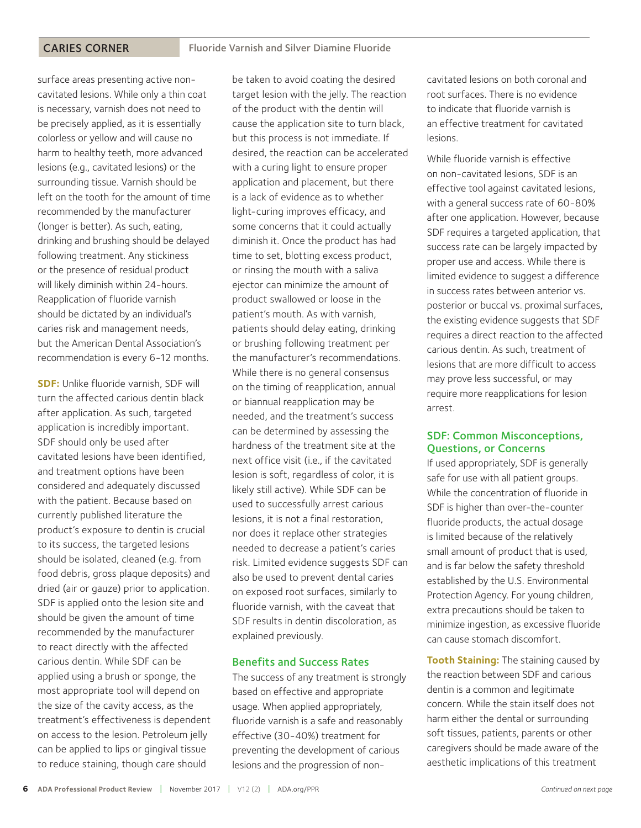surface areas presenting active noncavitated lesions. While only a thin coat is necessary, varnish does not need to be precisely applied, as it is essentially colorless or yellow and will cause no harm to healthy teeth, more advanced lesions (e.g., cavitated lesions) or the surrounding tissue. Varnish should be left on the tooth for the amount of time recommended by the manufacturer (longer is better). As such, eating, drinking and brushing should be delayed following treatment. Any stickiness or the presence of residual product will likely diminish within 24-hours. Reapplication of fluoride varnish should be dictated by an individual's caries risk and management needs, but the American Dental Association's recommendation is every 6-12 months.

**SDF:** Unlike fluoride varnish, SDF will turn the affected carious dentin black after application. As such, targeted application is incredibly important. SDF should only be used after cavitated lesions have been identified, and treatment options have been considered and adequately discussed with the patient. Because based on currently published literature the product's exposure to dentin is crucial to its success, the targeted lesions should be isolated, cleaned (e.g. from food debris, gross plaque deposits) and dried (air or gauze) prior to application. SDF is applied onto the lesion site and should be given the amount of time recommended by the manufacturer to react directly with the affected carious dentin. While SDF can be applied using a brush or sponge, the most appropriate tool will depend on the size of the cavity access, as the treatment's effectiveness is dependent on access to the lesion. Petroleum jelly can be applied to lips or gingival tissue to reduce staining, though care should

be taken to avoid coating the desired target lesion with the jelly. The reaction of the product with the dentin will cause the application site to turn black, but this process is not immediate. If desired, the reaction can be accelerated with a curing light to ensure proper application and placement, but there is a lack of evidence as to whether light-curing improves efficacy, and some concerns that it could actually diminish it. Once the product has had time to set, blotting excess product, or rinsing the mouth with a saliva ejector can minimize the amount of product swallowed or loose in the patient's mouth. As with varnish, patients should delay eating, drinking or brushing following treatment per the manufacturer's recommendations. While there is no general consensus on the timing of reapplication, annual or biannual reapplication may be needed, and the treatment's success can be determined by assessing the hardness of the treatment site at the next office visit (i.e., if the cavitated lesion is soft, regardless of color, it is likely still active). While SDF can be used to successfully arrest carious lesions, it is not a final restoration, nor does it replace other strategies needed to decrease a patient's caries risk. Limited evidence suggests SDF can also be used to prevent dental caries on exposed root surfaces, similarly to fluoride varnish, with the caveat that SDF results in dentin discoloration, as explained previously.

#### Benefits and Success Rates

The success of any treatment is strongly based on effective and appropriate usage. When applied appropriately, fluoride varnish is a safe and reasonably effective (30-40%) treatment for preventing the development of carious lesions and the progression of non-

cavitated lesions on both coronal and root surfaces. There is no evidence to indicate that fluoride varnish is an effective treatment for cavitated lesions.

While fluoride varnish is effective on non-cavitated lesions, SDF is an effective tool against cavitated lesions, with a general success rate of 60-80% after one application. However, because SDF requires a targeted application, that success rate can be largely impacted by proper use and access. While there is limited evidence to suggest a difference in success rates between anterior vs. posterior or buccal vs. proximal surfaces, the existing evidence suggests that SDF requires a direct reaction to the affected carious dentin. As such, treatment of lesions that are more difficult to access may prove less successful, or may require more reapplications for lesion arrest.

#### SDF: Common Misconceptions, Questions, or Concerns

If used appropriately, SDF is generally safe for use with all patient groups. While the concentration of fluoride in SDF is higher than over-the-counter fluoride products, the actual dosage is limited because of the relatively small amount of product that is used, and is far below the safety threshold established by the U.S. Environmental Protection Agency. For young children, extra precautions should be taken to minimize ingestion, as excessive fluoride can cause stomach discomfort.

**Tooth Staining:** The staining caused by the reaction between SDF and carious dentin is a common and legitimate concern. While the stain itself does not harm either the dental or surrounding soft tissues, patients, parents or other caregivers should be made aware of the aesthetic implications of this treatment